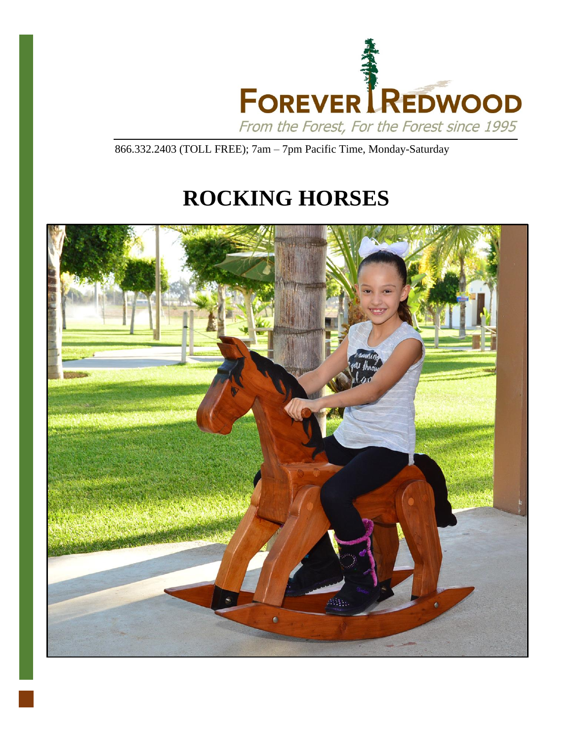

866.332.2403 (TOLL FREE); 7am – 7pm Pacific Time, Monday-Saturday

# **ROCKING HORSES**

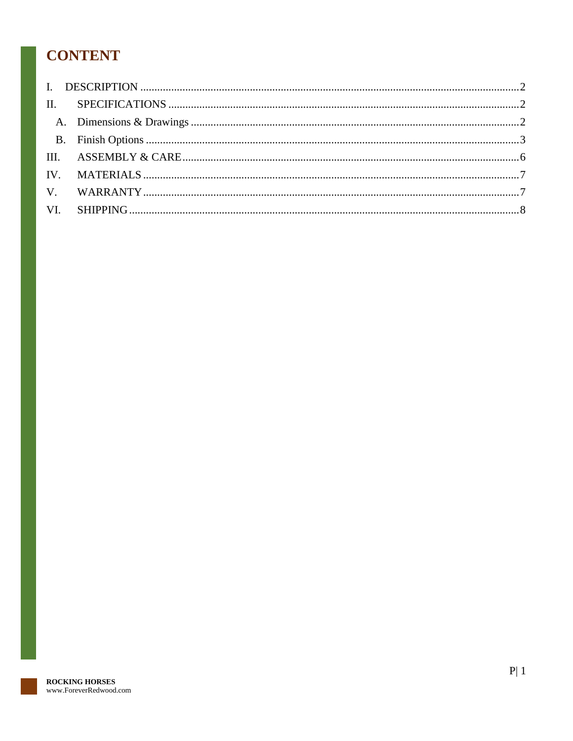# **CONTENT**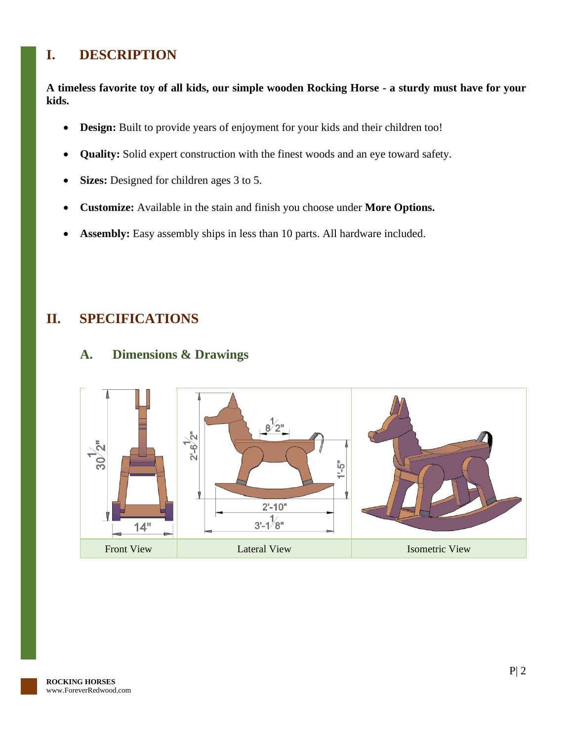### <span id="page-2-0"></span>**I. DESCRIPTION**

**A timeless favorite toy of all kids, our simple wooden Rocking Horse - a sturdy must have for your kids.**

- **Design:** Built to provide years of enjoyment for your kids and their children too!
- **Quality:** Solid expert construction with the finest woods and an eye toward safety.
- **Sizes:** Designed for children ages 3 to 5.
- **Customize:** Available in the stain and finish you choose under **More Options.**
- **Assembly:** Easy assembly ships in less than 10 parts. All hardware included.

### <span id="page-2-2"></span><span id="page-2-1"></span>**II. SPECIFICATIONS**

### **A. Dimensions & Drawings**

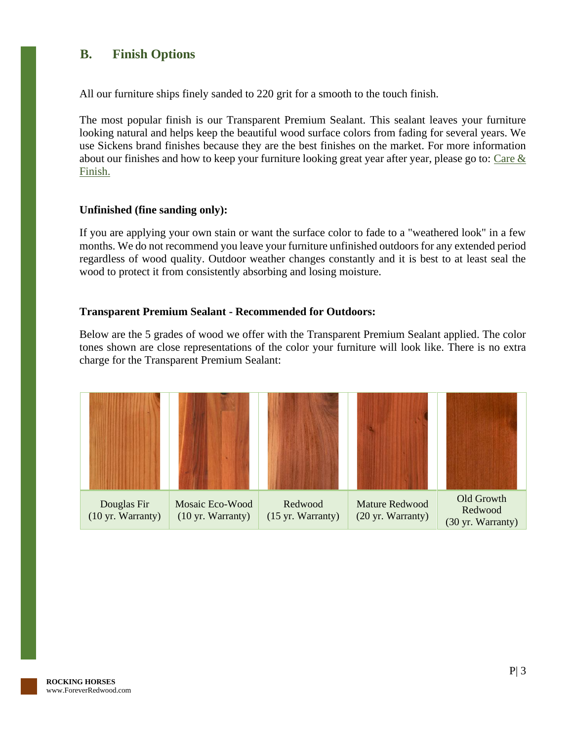### <span id="page-3-0"></span>**B. Finish Options**

All our furniture ships finely sanded to 220 grit for a smooth to the touch finish.

The most popular finish is our Transparent Premium Sealant. This sealant leaves your furniture looking natural and helps keep the beautiful wood surface colors from fading for several years. We use Sickens brand finishes because they are the best finishes on the market. For more information about our finishes and how to keep your furniture looking great year after year, please go to: [Care &](https://www.foreverredwood.com/redwood-furniture/care-finish/)  [Finish.](https://www.foreverredwood.com/redwood-furniture/care-finish/)

#### **Unfinished (fine sanding only):**

If you are applying your own stain or want the surface color to fade to a "weathered look" in a few months. We do not recommend you leave your furniture unfinished outdoors for any extended period regardless of wood quality. Outdoor weather changes constantly and it is best to at least seal the wood to protect it from consistently absorbing and losing moisture.

#### **Transparent Premium Sealant - Recommended for Outdoors:**

Below are the 5 grades of wood we offer with the Transparent Premium Sealant applied. The color tones shown are close representations of the color your furniture will look like. There is no extra charge for the Transparent Premium Sealant:

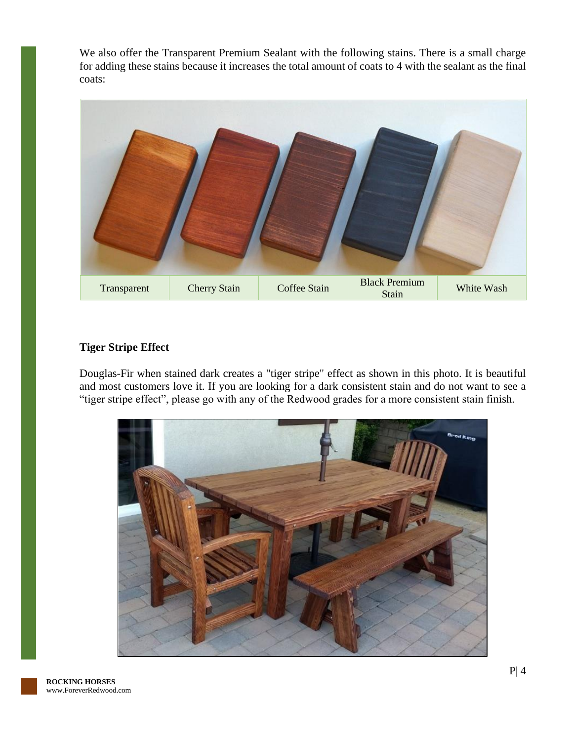We also offer the Transparent Premium Sealant with the following stains. There is a small charge for adding these stains because it increases the total amount of coats to 4 with the sealant as the final coats:



### **Tiger Stripe Effect**

Douglas-Fir when stained dark creates a "tiger stripe" effect as shown in this photo. It is beautiful and most customers love it. If you are looking for a dark consistent stain and do not want to see a "tiger stripe effect", please go with any of the Redwood grades for a more consistent stain finish.

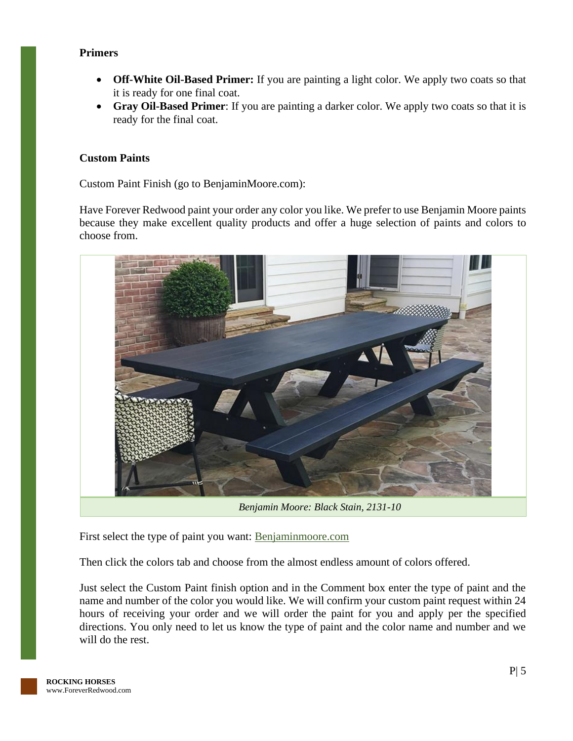### **Primers**

- **Off-White Oil-Based Primer:** If you are painting a light color. We apply two coats so that it is ready for one final coat.
- **Gray Oil-Based Primer**: If you are painting a darker color. We apply two coats so that it is ready for the final coat.

#### **Custom Paints**

Custom Paint Finish (go to BenjaminMoore.com):

Have Forever Redwood paint your order any color you like. We prefer to use Benjamin Moore paints because they make excellent quality products and offer a huge selection of paints and colors to choose from.



*Benjamin Moore: Black Stain, 2131-10*

First select the type of paint you want: [Benjaminmoore.com](http://www.benjaminmoore.com/)

Then click the colors tab and choose from the almost endless amount of colors offered.

Just select the Custom Paint finish option and in the Comment box enter the type of paint and the name and number of the color you would like. We will confirm your custom paint request within 24 hours of receiving your order and we will order the paint for you and apply per the specified directions. You only need to let us know the type of paint and the color name and number and we will do the rest.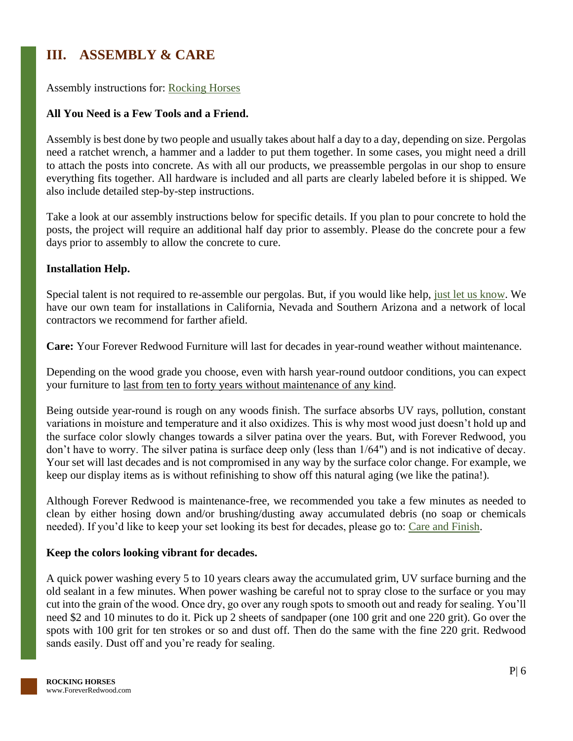### <span id="page-6-0"></span>**III. ASSEMBLY & CARE**

Assembly instructions for: [Rocking Horses](https://www.foreverredwood.com/media/pdf/assembly/Rocking_Horses.pdf)

### **All You Need is a Few Tools and a Friend.**

Assembly is best done by two people and usually takes about half a day to a day, depending on size. Pergolas need a ratchet wrench, a hammer and a ladder to put them together. In some cases, you might need a drill to attach the posts into concrete. As with all our products, we preassemble pergolas in our shop to ensure everything fits together. All hardware is included and all parts are clearly labeled before it is shipped. We also include detailed step-by-step instructions.

Take a look at our assembly instructions below for specific details. If you plan to pour concrete to hold the posts, the project will require an additional half day prior to assembly. Please do the concrete pour a few days prior to assembly to allow the concrete to cure.

### **Installation Help.**

Special talent is not required to re-assemble our pergolas. But, if you would like help, [just let us know.](https://www.foreverredwood.com/information/contact) We have our own team for installations in California, Nevada and Southern Arizona and a network of local contractors we recommend for farther afield.

**Care:** Your Forever Redwood Furniture will last for decades in year-round weather without maintenance.

Depending on the wood grade you choose, even with harsh year-round outdoor conditions, you can expect your furniture to last from ten to forty years without maintenance of any kind.

Being outside year-round is rough on any woods finish. The surface absorbs UV rays, pollution, constant variations in moisture and temperature and it also oxidizes. This is why most wood just doesn't hold up and the surface color slowly changes towards a silver patina over the years. But, with Forever Redwood, you don't have to worry. The silver patina is surface deep only (less than 1/64") and is not indicative of decay. Your set will last decades and is not compromised in any way by the surface color change. For example, we keep our display items as is without refinishing to show off this natural aging (we like the patina!).

Although Forever Redwood is maintenance-free, we recommended you take a few minutes as needed to clean by either hosing down and/or brushing/dusting away accumulated debris (no soap or chemicals needed). If you'd like to keep your set looking its best for decades, please go to: [Care and Finish.](https://www.foreverredwood.com/redwood-furniture/care-finish)

### **Keep the colors looking vibrant for decades.**

A quick power washing every 5 to 10 years clears away the accumulated grim, UV surface burning and the old sealant in a few minutes. When power washing be careful not to spray close to the surface or you may cut into the grain of the wood. Once dry, go over any rough spots to smooth out and ready for sealing. You'll need \$2 and 10 minutes to do it. Pick up 2 sheets of sandpaper (one 100 grit and one 220 grit). Go over the spots with 100 grit for ten strokes or so and dust off. Then do the same with the fine 220 grit. Redwood sands easily. Dust off and you're ready for sealing.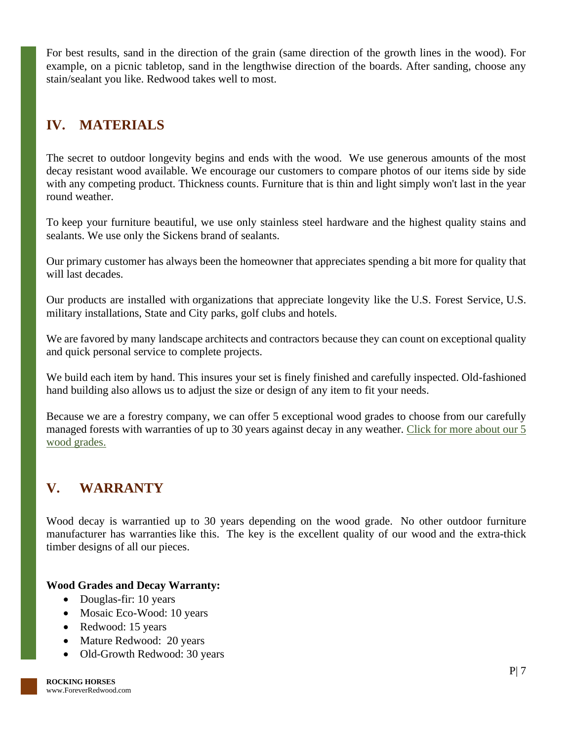For best results, sand in the direction of the grain (same direction of the growth lines in the wood). For example, on a picnic tabletop, sand in the lengthwise direction of the boards. After sanding, choose any stain/sealant you like. Redwood takes well to most.

### <span id="page-7-0"></span>**IV. MATERIALS**

The secret to outdoor longevity begins and ends with the wood. We use generous amounts of the most decay resistant wood available. We encourage our customers to compare photos of our items side by side with any competing product. Thickness counts. Furniture that is thin and light simply won't last in the year round weather.

To keep your furniture beautiful, we use only stainless steel hardware and the highest quality stains and sealants. We use only the Sickens brand of sealants.

Our primary customer has always been the homeowner that appreciates spending a bit more for quality that will last decades.

Our products are installed with organizations that appreciate longevity like the U.S. Forest Service, U.S. military installations, State and City parks, golf clubs and hotels.

We are favored by many landscape architects and contractors because they can count on exceptional quality and quick personal service to complete projects.

We build each item by hand. This insures your set is finely finished and carefully inspected. Old-fashioned hand building also allows us to adjust the size or design of any item to fit your needs.

Because we are a forestry company, we can offer 5 exceptional wood grades to choose from our carefully managed forests with warranties of up to 30 years against decay in any weather. [Click for more about our 5](https://www.foreverredwood.com/redwood-furniture/wood-grade/)  [wood grades.](https://www.foreverredwood.com/redwood-furniture/wood-grade/)

# <span id="page-7-1"></span>**V. WARRANTY**

Wood decay is warrantied up to 30 years depending on the wood grade. No other outdoor furniture manufacturer has warranties like this. The key is the excellent quality of our wood and the extra-thick timber designs of all our pieces.

### **Wood Grades and Decay Warranty:**

- Douglas-fir: 10 years
- Mosaic Eco-Wood: 10 years
- Redwood: 15 years
- Mature Redwood: 20 years
- Old-Growth Redwood: 30 years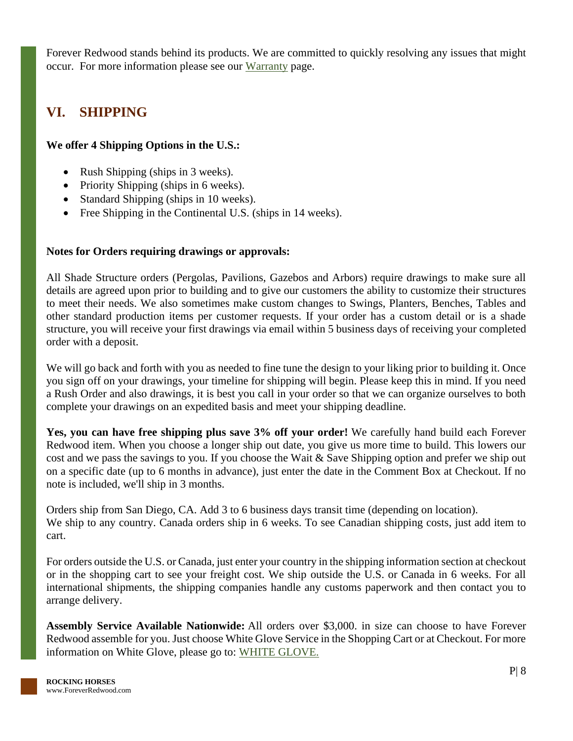Forever Redwood stands behind its products. We are committed to quickly resolving any issues that might occur. For more information please see our [Warranty](https://www.foreverredwood.com/redwood-furniture/warranty) page.

## <span id="page-8-0"></span>**VI. SHIPPING**

### **We offer 4 Shipping Options in the U.S.:**

- Rush Shipping (ships in 3 weeks).
- Priority Shipping (ships in 6 weeks).
- Standard Shipping (ships in 10 weeks).
- Free Shipping in the Continental U.S. (ships in 14 weeks).

### **Notes for Orders requiring drawings or approvals:**

All Shade Structure orders (Pergolas, Pavilions, Gazebos and Arbors) require drawings to make sure all details are agreed upon prior to building and to give our customers the ability to customize their structures to meet their needs. We also sometimes make custom changes to Swings, Planters, Benches, Tables and other standard production items per customer requests. If your order has a custom detail or is a shade structure, you will receive your first drawings via email within 5 business days of receiving your completed order with a deposit.

We will go back and forth with you as needed to fine tune the design to your liking prior to building it. Once you sign off on your drawings, your timeline for shipping will begin. Please keep this in mind. If you need a Rush Order and also drawings, it is best you call in your order so that we can organize ourselves to both complete your drawings on an expedited basis and meet your shipping deadline.

**Yes, you can have free shipping plus save 3% off your order!** We carefully hand build each Forever Redwood item. When you choose a longer ship out date, you give us more time to build. This lowers our cost and we pass the savings to you. If you choose the Wait & Save Shipping option and prefer we ship out on a specific date (up to 6 months in advance), just enter the date in the Comment Box at Checkout. If no note is included, we'll ship in 3 months.

Orders ship from San Diego, CA. Add 3 to 6 business days transit time (depending on location). We ship to any country. Canada orders ship in 6 weeks. To see Canadian shipping costs, just add item to cart.

For orders outside the U.S. or Canada, just enter your country in the shipping information section at checkout or in the shopping cart to see your freight cost. We ship outside the U.S. or Canada in 6 weeks. For all international shipments, the shipping companies handle any customs paperwork and then contact you to arrange delivery.

**Assembly Service Available Nationwide:** All orders over \$3,000. in size can choose to have Forever Redwood assemble for you. Just choose White Glove Service in the Shopping Cart or at Checkout. For more information on White Glove, please go to: [WHITE GLOVE.](https://www.foreverredwood.com/white-glove/)